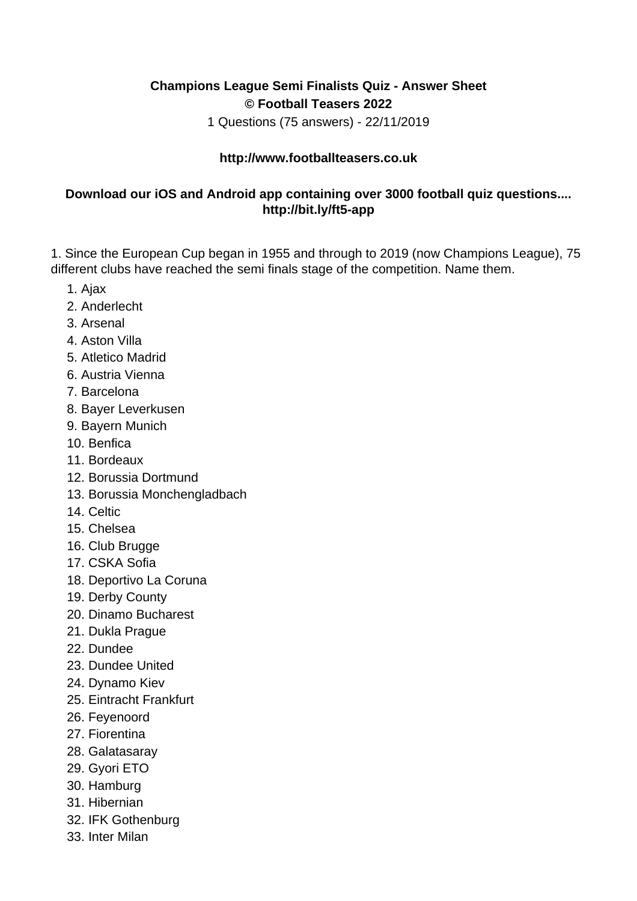## **Champions League Semi Finalists Quiz - Answer Sheet © Football Teasers 2022**

1 Questions (75 answers) - 22/11/2019

## **http://www.footballteasers.co.uk**

## **Download our iOS and Android app containing over 3000 football quiz questions.... http://bit.ly/ft5-app**

1. Since the European Cup began in 1955 and through to 2019 (now Champions League), 75 different clubs have reached the semi finals stage of the competition. Name them.

- 1. Ajax
- 2. Anderlecht
- 3. Arsenal
- 4. Aston Villa
- 5. Atletico Madrid
- 6. Austria Vienna
- 7. Barcelona
- 8. Bayer Leverkusen
- 9. Bayern Munich
- 10. Benfica
- 11. Bordeaux
- 12. Borussia Dortmund
- 13. Borussia Monchengladbach
- 14. Celtic
- 15. Chelsea
- 16. Club Brugge
- 17. CSKA Sofia
- 18. Deportivo La Coruna
- 19. Derby County
- 20. Dinamo Bucharest
- 21. Dukla Prague
- 22. Dundee
- 23. Dundee United
- 24. Dynamo Kiev
- 25. Eintracht Frankfurt
- 26. Feyenoord
- 27. Fiorentina
- 28. Galatasaray
- 29. Gyori ETO
- 30. Hamburg
- 31. Hibernian
- 32. IFK Gothenburg
- 33. Inter Milan